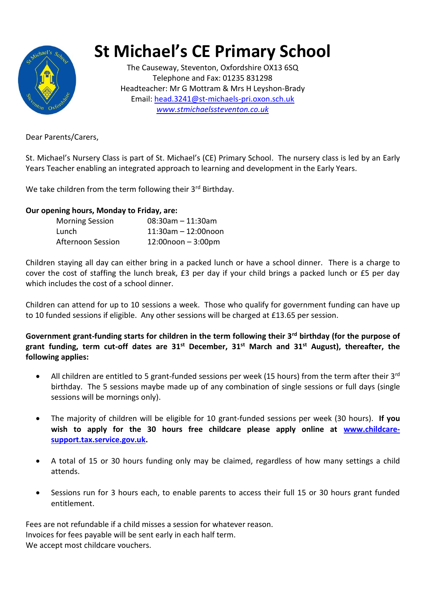

## **St Michael's CE Primary School**

The Causeway, Steventon, Oxfordshire OX13 6SQ Telephone and Fax: 01235 831298 Headteacher: Mr G Mottram & Mrs H Leyshon-Brady Email: [head.3241@st-michaels-pri.oxon.sch.uk](mailto:head.3241@ocnmail.net) *[www.stmichaelssteventon.co.uk](http://www.stmichaelssteventon.co.uk/)*

Dear Parents/Carers,

St. Michael's Nursery Class is part of St. Michael's (CE) Primary School. The nursery class is led by an Early Years Teacher enabling an integrated approach to learning and development in the Early Years.

We take children from the term following their 3<sup>rd</sup> Birthday.

## **Our opening hours, Monday to Friday, are:**

| <b>Morning Session</b>   | $08:30$ am $-11:30$ am   |
|--------------------------|--------------------------|
| Lunch                    | $11:30$ am $-12:00$ noon |
| <b>Afternoon Session</b> | $12:00$ noon - $3:00$ pm |

Children staying all day can either bring in a packed lunch or have a school dinner. There is a charge to cover the cost of staffing the lunch break, £3 per day if your child brings a packed lunch or £5 per day which includes the cost of a school dinner.

Children can attend for up to 10 sessions a week. Those who qualify for government funding can have up to 10 funded sessions if eligible. Any other sessions will be charged at £13.65 per session.

**Government grant-funding starts for children in the term following their 3rd birthday (for the purpose of grant funding, term cut-off dates are 31st December, 31st March and 31st August), thereafter, the following applies:**

- All children are entitled to 5 grant-funded sessions per week (15 hours) from the term after their 3<sup>rd</sup> birthday. The 5 sessions maybe made up of any combination of single sessions or full days (single sessions will be mornings only).
- The majority of children will be eligible for 10 grant-funded sessions per week (30 hours). **If you wish to apply for the 30 hours free childcare please apply online at [www.childcare](http://www.childcare-support.tax.service.gov.uk/)[support.tax.service.gov.uk.](http://www.childcare-support.tax.service.gov.uk/)**
- A total of 15 or 30 hours funding only may be claimed, regardless of how many settings a child attends.
- Sessions run for 3 hours each, to enable parents to access their full 15 or 30 hours grant funded entitlement.

Fees are not refundable if a child misses a session for whatever reason. Invoices for fees payable will be sent early in each half term. We accept most childcare vouchers.